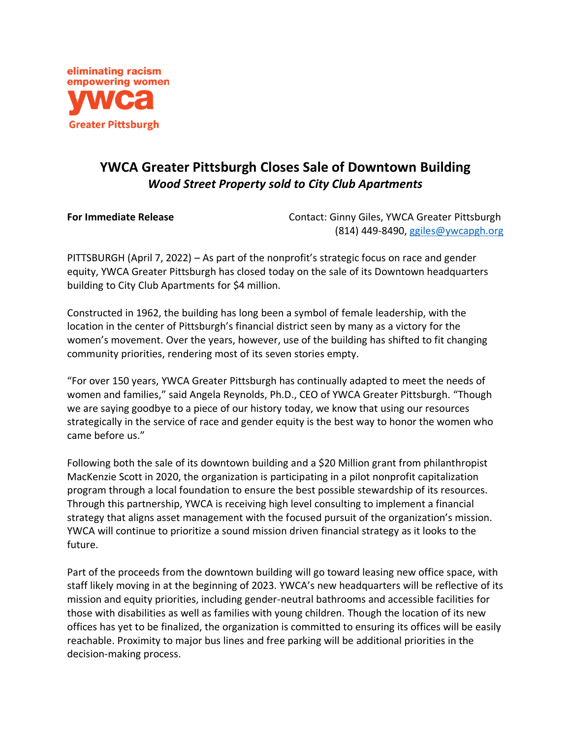

## **YWCA Greater Pittsburgh Closes Sale of Downtown Building** *Wood Street Property sold to City Club Apartments*

**For Immediate Release The Contact: Ginny Giles, YWCA Greater Pittsburgh** (814) 449-8490, [ggiles@ywcapgh.org](mailto:ggiles@ywcapgh.org)

PITTSBURGH (April 7, 2022) – As part of the nonprofit's strategic focus on race and gender equity, YWCA Greater Pittsburgh has closed today on the sale of its Downtown headquarters building to City Club Apartments for \$4 million.

Constructed in 1962, the building has long been a symbol of female leadership, with the location in the center of Pittsburgh's financial district seen by many as a victory for the women's movement. Over the years, however, use of the building has shifted to fit changing community priorities, rendering most of its seven stories empty.

"For over 150 years, YWCA Greater Pittsburgh has continually adapted to meet the needs of women and families," said Angela Reynolds, Ph.D., CEO of YWCA Greater Pittsburgh. "Though we are saying goodbye to a piece of our history today, we know that using our resources strategically in the service of race and gender equity is the best way to honor the women who came before us."

Following both the sale of its downtown building and a \$20 Million grant from philanthropist MacKenzie Scott in 2020, the organization is participating in a pilot nonprofit capitalization program through a local foundation to ensure the best possible stewardship of its resources. Through this partnership, YWCA is receiving high level consulting to implement a financial strategy that aligns asset management with the focused pursuit of the organization's mission. YWCA will continue to prioritize a sound mission driven financial strategy as it looks to the future.

Part of the proceeds from the downtown building will go toward leasing new office space, with staff likely moving in at the beginning of 2023. YWCA's new headquarters will be reflective of its mission and equity priorities, including gender-neutral bathrooms and accessible facilities for those with disabilities as well as families with young children. Though the location of its new offices has yet to be finalized, the organization is committed to ensuring its offices will be easily reachable. Proximity to major bus lines and free parking will be additional priorities in the decision-making process.